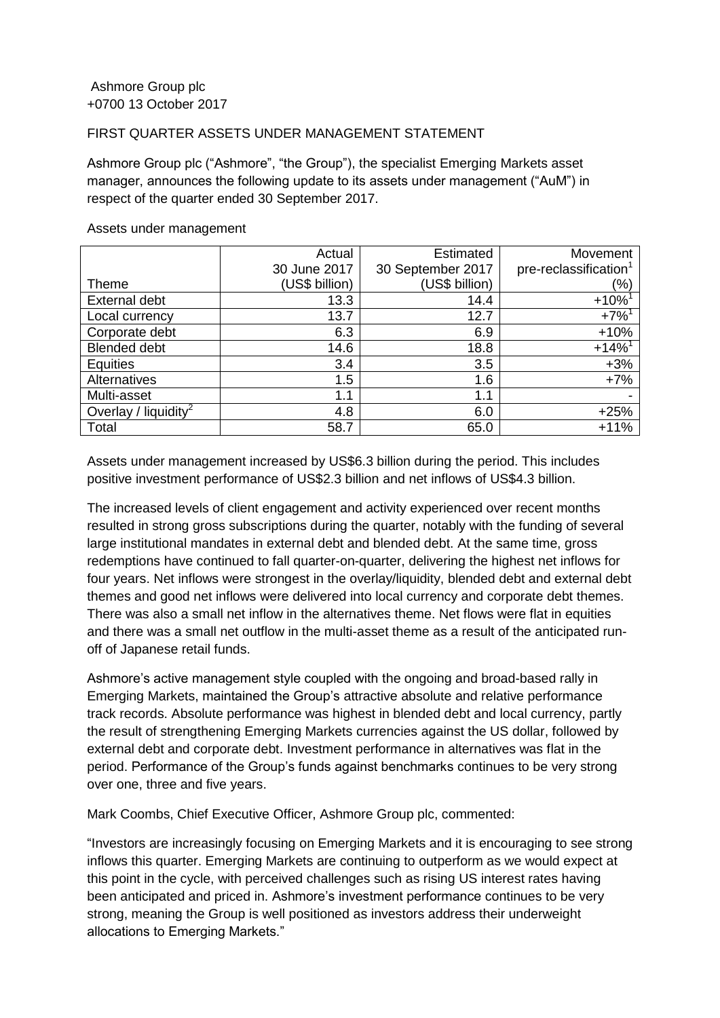## FIRST QUARTER ASSETS UNDER MANAGEMENT STATEMENT

Ashmore Group plc ("Ashmore", "the Group"), the specialist Emerging Markets asset manager, announces the following update to its assets under management ("AuM") in respect of the quarter ended 30 September 2017.

|                                  | Actual         | Estimated         | Movement                          |
|----------------------------------|----------------|-------------------|-----------------------------------|
|                                  | 30 June 2017   | 30 September 2017 | pre-reclassification <sup>1</sup> |
| <b>Theme</b>                     | (US\$ billion) | (US\$ billion)    | (%)                               |
| External debt                    | 13.3           | 14.4              | $+10%$                            |
| Local currency                   | 13.7           | 12.7              | $+7%^{1}$                         |
| Corporate debt                   | 6.3            | 6.9               | $+10%$                            |
| <b>Blended debt</b>              | 14.6           | 18.8              | $+14%$ <sup>1</sup>               |
| <b>Equities</b>                  | 3.4            | 3.5               | $+3%$                             |
| Alternatives                     | 1.5            | 1.6               | $+7%$                             |
| Multi-asset                      | 1.1            | 1.1               |                                   |
| Overlay / liquidity <sup>2</sup> | 4.8            | 6.0               | $+25%$                            |
| Total                            | 58.7           | 65.0              | $+11%$                            |

## Assets under management

Assets under management increased by US\$6.3 billion during the period. This includes positive investment performance of US\$2.3 billion and net inflows of US\$4.3 billion.

The increased levels of client engagement and activity experienced over recent months resulted in strong gross subscriptions during the quarter, notably with the funding of several large institutional mandates in external debt and blended debt. At the same time, gross redemptions have continued to fall quarter-on-quarter, delivering the highest net inflows for four years. Net inflows were strongest in the overlay/liquidity, blended debt and external debt themes and good net inflows were delivered into local currency and corporate debt themes. There was also a small net inflow in the alternatives theme. Net flows were flat in equities and there was a small net outflow in the multi-asset theme as a result of the anticipated runoff of Japanese retail funds.

Ashmore's active management style coupled with the ongoing and broad-based rally in Emerging Markets, maintained the Group's attractive absolute and relative performance track records. Absolute performance was highest in blended debt and local currency, partly the result of strengthening Emerging Markets currencies against the US dollar, followed by external debt and corporate debt. Investment performance in alternatives was flat in the period. Performance of the Group's funds against benchmarks continues to be very strong over one, three and five years.

Mark Coombs, Chief Executive Officer, Ashmore Group plc, commented:

"Investors are increasingly focusing on Emerging Markets and it is encouraging to see strong inflows this quarter. Emerging Markets are continuing to outperform as we would expect at this point in the cycle, with perceived challenges such as rising US interest rates having been anticipated and priced in. Ashmore's investment performance continues to be very strong, meaning the Group is well positioned as investors address their underweight allocations to Emerging Markets."